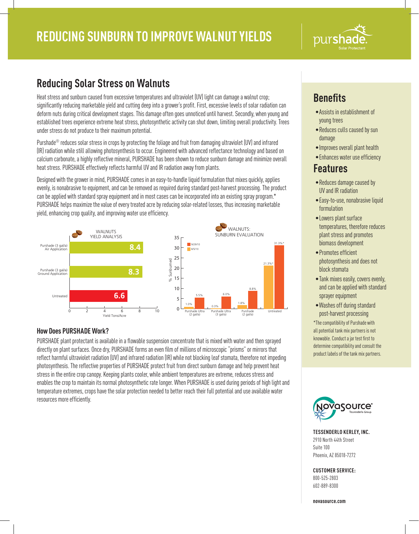

# **Reducing Solar Stress on Walnuts**

Heat stress and sunburn caused from excessive temperatures and ultraviolet (UV) light can damage a walnut crop; significantly reducing marketable yield and cutting deep into a grower's profit. First, excessive levels of solar radiation can deform nuts during critical development stages. This damage often goes unnoticed until harvest. Secondly, when young and established trees experience extreme heat stress, photosynthetic activity can shut down, limiting overall productivity. Trees under stress do not produce to their maximum potential.

Purshade® reduces solar stress in crops by protecting the foliage and fruit from damaging ultraviolet (UV) and infrared (IR) radiation while still allowing photosynthesis to occur. Engineered with advanced reflectance technology and based on calcium carbonate, a highly reflective mineral, PURSHADE has been shown to reduce sunburn damage and minimize overall heat stress. PURSHADE effectively reflects harmful UV and IR radiation away from plants.

Designed with the grower in mind, PURSHADE comes in an easy-to-handle liquid formulation that mixes quickly, applies evenly, is nonabrasive to equipment, and can be removed as required during standard post-harvest processing. The product can be applied with standard spray equipment and in most cases can be incorporated into an existing spray program.\* PURSHADE helps maximize the value of every treated acre by reducing solar-related losses, thus increasing marketable yield, enhancing crop quality, and improving water use efficiency.



## **How Does PURSHADE Work?**

PURSHADE plant protectant is available in a flowable suspension concentrate that is mixed with water and then sprayed directly on plant surfaces. Once dry, PURSHADE forms an even film of millions of microscopic "prisms" or mirrors that reflect harmful ultraviolet radiation (UV) and infrared radiation (IR) while not blocking leaf stomata, therefore not impeding photosynthesis. The reflective properties of PURSHADE protect fruit from direct sunburn damage and help prevent heat stress in the entire crop canopy. Keeping plants cooler, while ambient temperatures are extreme, reduces stress and enables the crop to maintain its normal photosynthetic rate longer. When PURSHADE is used during periods of high light and temperature extremes, crops have the solar protection needed to better reach their full potential and use available water resources more efficiently.

# **Benefits**

- •Assists in establishment of young trees
- •Reduces culls caused by sun damage
- •Improves overall plant health
- Enhances water use efficiency

## **Features**

- •Reduces damage caused by UV and IR radiation
- •Easy-to-use, nonabrasive liquid formulation
- •Lowers plant surface temperatures, therefore reduces plant stress and promotes biomass development
- Promotes efficient photosynthesis and does not block stomata
- •Tank mixes easily, covers evenly, and can be applied with standard sprayer equipment
- •Washes off during standard post-harvest processing

\*The compatibility of Purshade with all potential tank mix partners is not knowable. Conduct a jar test first to determine compatibility and consult the product labels of the tank mix partners.



**TESSENDERLO KERLEY, INC.** 2910 North 44th Street Suite 100 Phoenix, AZ 85018-7272

### **CUSTOMER SERVICE:**

800-525-2803 602-889-8300

**novasource.com**